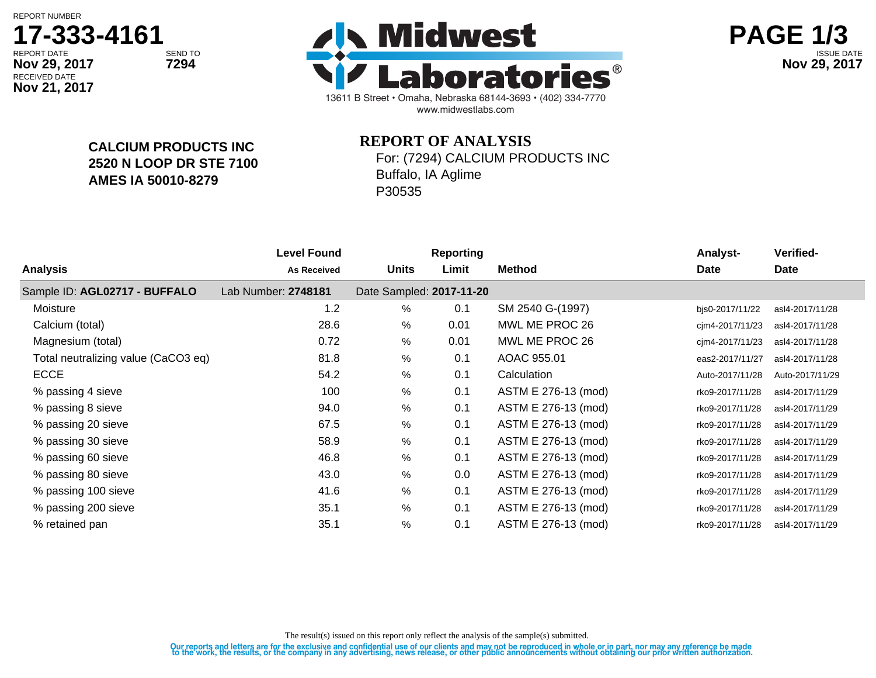REPORT NUMBER

# **17-333-4161**

**CALCIUM PRODUCTS INC**

**2520 N LOOP DR STE 7100**

**AMES IA 50010-8279**

RECEIVED DATE **Nov 21, 2017**





## **REPORT OF ANALYSIS**

For: (7294) CALCIUM PRODUCTS INC Buffalo, IA Aglime

P30535

| <b>Level Found</b>  |              | <b>Reporting</b> |                          | <b>Analyst-</b> | Verified-       |
|---------------------|--------------|------------------|--------------------------|-----------------|-----------------|
| <b>As Received</b>  | <b>Units</b> | Limit            | <b>Method</b>            | <b>Date</b>     | Date            |
| Lab Number: 2748181 |              |                  |                          |                 |                 |
| 1.2                 | %            | 0.1              | SM 2540 G-(1997)         | bjs0-2017/11/22 | asl4-2017/11/28 |
| 28.6                | %            | 0.01             | MWL ME PROC 26           | cjm4-2017/11/23 | asl4-2017/11/28 |
| 0.72                | %            | 0.01             | MWL ME PROC 26           | cjm4-2017/11/23 | asl4-2017/11/28 |
| 81.8                | %            | 0.1              | AOAC 955.01              | eas2-2017/11/27 | asl4-2017/11/28 |
| 54.2                | $\%$         | 0.1              | Calculation              | Auto-2017/11/28 | Auto-2017/11/29 |
| 100                 | %            | 0.1              | ASTM E 276-13 (mod)      | rko9-2017/11/28 | asl4-2017/11/29 |
| 94.0                | %            | 0.1              | ASTM E 276-13 (mod)      | rko9-2017/11/28 | asl4-2017/11/29 |
| 67.5                | %            | 0.1              | ASTM E 276-13 (mod)      | rko9-2017/11/28 | asl4-2017/11/29 |
| 58.9                | $\%$         | 0.1              | ASTM E 276-13 (mod)      | rko9-2017/11/28 | asl4-2017/11/29 |
| 46.8                | $\%$         | 0.1              | ASTM E 276-13 (mod)      | rko9-2017/11/28 | asl4-2017/11/29 |
| 43.0                | %            | 0.0              | ASTM E 276-13 (mod)      | rko9-2017/11/28 | asl4-2017/11/29 |
| 41.6                | $\%$         | 0.1              | ASTM E 276-13 (mod)      | rko9-2017/11/28 | asl4-2017/11/29 |
| 35.1                | $\%$         | 0.1              | ASTM E 276-13 (mod)      | rko9-2017/11/28 | asl4-2017/11/29 |
| 35.1                | $\%$         | 0.1              | ASTM E 276-13 (mod)      | rko9-2017/11/28 | asl4-2017/11/29 |
|                     |              |                  | Date Sampled: 2017-11-20 |                 |                 |

The result(s) issued on this report only reflect the analysis of the sample(s) submitted.

Our reports and letters are for the exclusive and confidential use of our clients and may not be reproduced in whole or in part, nor may any reference be made<br>to the work, the results, or the company in any advertising, ne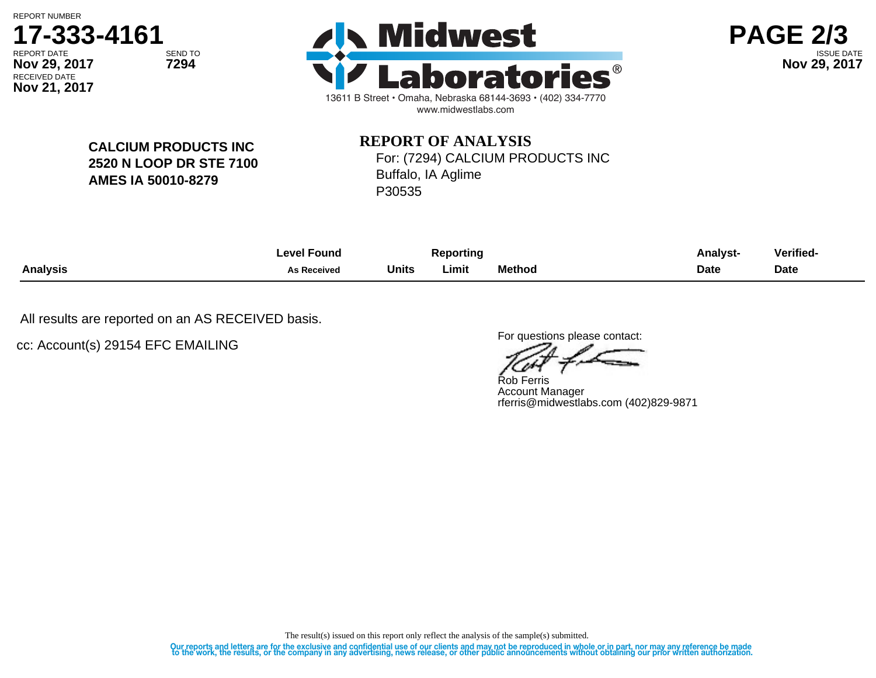REPORT NUMBER

**Nov 21, 2017**







**CALCIUM PRODUCTS INC 2520 N LOOP DR STE 7100 AMES IA 50010-8279**

## **REPORT OF ANALYSIS** For: (7294) CALCIUM PRODUCTS INC

Buffalo, IA Aglime P30535

|                 | ∟evel Found        | <b>Reporting</b> |       |               | Analvst-    | Verified- |
|-----------------|--------------------|------------------|-------|---------------|-------------|-----------|
| <b>Analysis</b> | <b>As Received</b> | Units            | Limit | <b>Method</b> | <b>Date</b> | Date      |

All results are reported on an AS RECEIVED basis.

cc: Account(s) 29154 EFC EMAILING

For questions please contact:

Rob Ferris Account Manager rferris@midwestlabs.com (402)829-9871

The result(s) issued on this report only reflect the analysis of the sample(s) submitted.